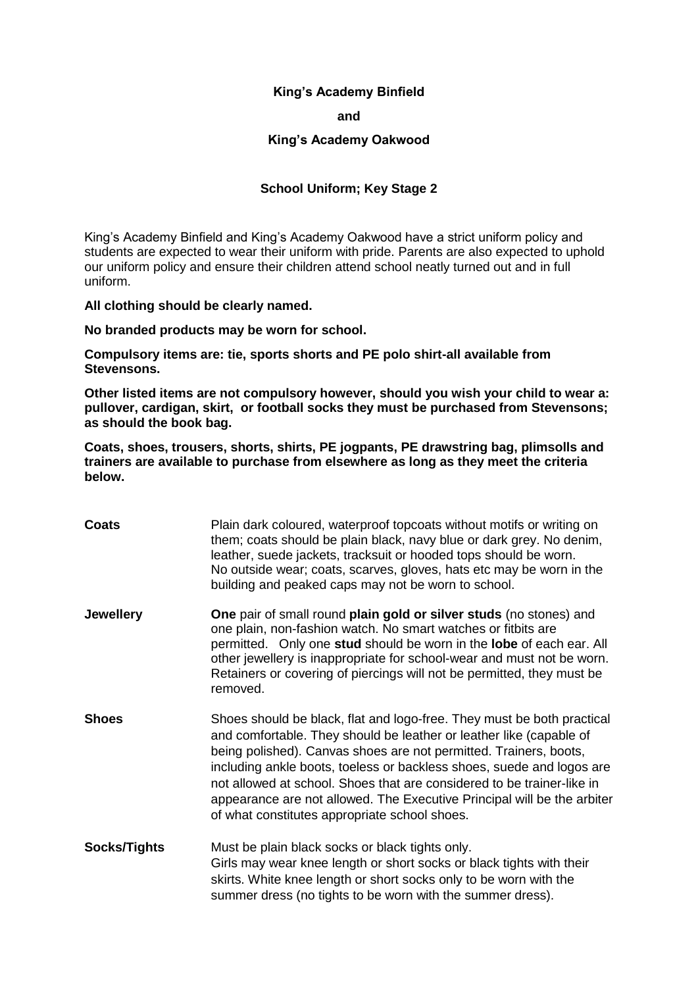# **King's Academy Binfield**

#### **and**

### **King's Academy Oakwood**

# **School Uniform; Key Stage 2**

King's Academy Binfield and King's Academy Oakwood have a strict uniform policy and students are expected to wear their uniform with pride. Parents are also expected to uphold our uniform policy and ensure their children attend school neatly turned out and in full uniform.

#### **All clothing should be clearly named.**

### **No branded products may be worn for school.**

**Compulsory items are: tie, sports shorts and PE polo shirt-all available from Stevensons.** 

**Other listed items are not compulsory however, should you wish your child to wear a: pullover, cardigan, skirt, or football socks they must be purchased from Stevensons; as should the book bag.** 

**Coats, shoes, trousers, shorts, shirts, PE jogpants, PE drawstring bag, plimsolls and trainers are available to purchase from elsewhere as long as they meet the criteria below.**

| <b>Coats</b>     | Plain dark coloured, waterproof topcoats without motifs or writing on<br>them; coats should be plain black, navy blue or dark grey. No denim,<br>leather, suede jackets, tracksuit or hooded tops should be worn.<br>No outside wear; coats, scarves, gloves, hats etc may be worn in the<br>building and peaked caps may not be worn to school.                                                                                                                                                  |
|------------------|---------------------------------------------------------------------------------------------------------------------------------------------------------------------------------------------------------------------------------------------------------------------------------------------------------------------------------------------------------------------------------------------------------------------------------------------------------------------------------------------------|
| <b>Jewellery</b> | One pair of small round plain gold or silver studs (no stones) and<br>one plain, non-fashion watch. No smart watches or fitbits are<br>permitted. Only one stud should be worn in the lobe of each ear. All<br>other jewellery is inappropriate for school-wear and must not be worn.<br>Retainers or covering of piercings will not be permitted, they must be<br>removed.                                                                                                                       |
| <b>Shoes</b>     | Shoes should be black, flat and logo-free. They must be both practical<br>and comfortable. They should be leather or leather like (capable of<br>being polished). Canvas shoes are not permitted. Trainers, boots,<br>including ankle boots, toeless or backless shoes, suede and logos are<br>not allowed at school. Shoes that are considered to be trainer-like in<br>appearance are not allowed. The Executive Principal will be the arbiter<br>of what constitutes appropriate school shoes. |
| Socks/Tights     | Must be plain black socks or black tights only.<br>Girls may wear knee length or short socks or black tights with their<br>skirts. White knee length or short socks only to be worn with the<br>summer dress (no tights to be worn with the summer dress).                                                                                                                                                                                                                                        |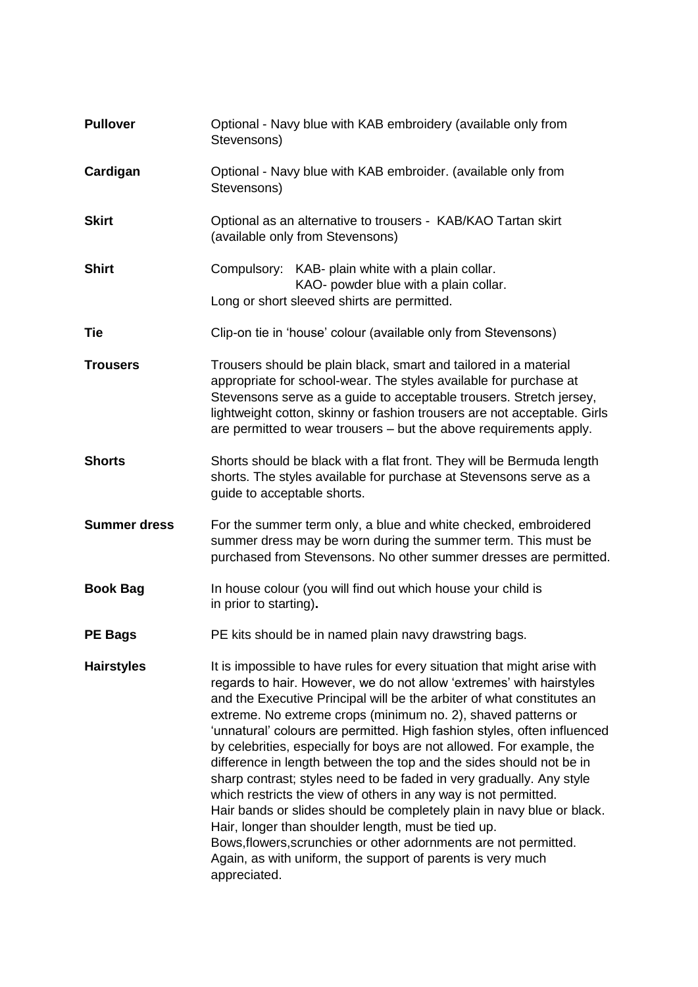| <b>Pullover</b>     | Optional - Navy blue with KAB embroidery (available only from<br>Stevensons)                                                                                                                                                                                                                                                                                                                                                                                                                                                                                                                                                                                                                                                                                                                                                                                                                                                                           |
|---------------------|--------------------------------------------------------------------------------------------------------------------------------------------------------------------------------------------------------------------------------------------------------------------------------------------------------------------------------------------------------------------------------------------------------------------------------------------------------------------------------------------------------------------------------------------------------------------------------------------------------------------------------------------------------------------------------------------------------------------------------------------------------------------------------------------------------------------------------------------------------------------------------------------------------------------------------------------------------|
| Cardigan            | Optional - Navy blue with KAB embroider. (available only from<br>Stevensons)                                                                                                                                                                                                                                                                                                                                                                                                                                                                                                                                                                                                                                                                                                                                                                                                                                                                           |
| <b>Skirt</b>        | Optional as an alternative to trousers - KAB/KAO Tartan skirt<br>(available only from Stevensons)                                                                                                                                                                                                                                                                                                                                                                                                                                                                                                                                                                                                                                                                                                                                                                                                                                                      |
| <b>Shirt</b>        | Compulsory: KAB- plain white with a plain collar.<br>KAO- powder blue with a plain collar.<br>Long or short sleeved shirts are permitted.                                                                                                                                                                                                                                                                                                                                                                                                                                                                                                                                                                                                                                                                                                                                                                                                              |
| Tie                 | Clip-on tie in 'house' colour (available only from Stevensons)                                                                                                                                                                                                                                                                                                                                                                                                                                                                                                                                                                                                                                                                                                                                                                                                                                                                                         |
| <b>Trousers</b>     | Trousers should be plain black, smart and tailored in a material<br>appropriate for school-wear. The styles available for purchase at<br>Stevensons serve as a guide to acceptable trousers. Stretch jersey,<br>lightweight cotton, skinny or fashion trousers are not acceptable. Girls<br>are permitted to wear trousers - but the above requirements apply.                                                                                                                                                                                                                                                                                                                                                                                                                                                                                                                                                                                         |
| <b>Shorts</b>       | Shorts should be black with a flat front. They will be Bermuda length<br>shorts. The styles available for purchase at Stevensons serve as a<br>guide to acceptable shorts.                                                                                                                                                                                                                                                                                                                                                                                                                                                                                                                                                                                                                                                                                                                                                                             |
| <b>Summer dress</b> | For the summer term only, a blue and white checked, embroidered<br>summer dress may be worn during the summer term. This must be<br>purchased from Stevensons. No other summer dresses are permitted.                                                                                                                                                                                                                                                                                                                                                                                                                                                                                                                                                                                                                                                                                                                                                  |
| <b>Book Bag</b>     | In house colour (you will find out which house your child is<br>in prior to starting).                                                                                                                                                                                                                                                                                                                                                                                                                                                                                                                                                                                                                                                                                                                                                                                                                                                                 |
| <b>PE Bags</b>      | PE kits should be in named plain navy drawstring bags.                                                                                                                                                                                                                                                                                                                                                                                                                                                                                                                                                                                                                                                                                                                                                                                                                                                                                                 |
| <b>Hairstyles</b>   | It is impossible to have rules for every situation that might arise with<br>regards to hair. However, we do not allow 'extremes' with hairstyles<br>and the Executive Principal will be the arbiter of what constitutes an<br>extreme. No extreme crops (minimum no. 2), shaved patterns or<br>'unnatural' colours are permitted. High fashion styles, often influenced<br>by celebrities, especially for boys are not allowed. For example, the<br>difference in length between the top and the sides should not be in<br>sharp contrast; styles need to be faded in very gradually. Any style<br>which restricts the view of others in any way is not permitted.<br>Hair bands or slides should be completely plain in navy blue or black.<br>Hair, longer than shoulder length, must be tied up.<br>Bows, flowers, scrunchies or other adornments are not permitted.<br>Again, as with uniform, the support of parents is very much<br>appreciated. |